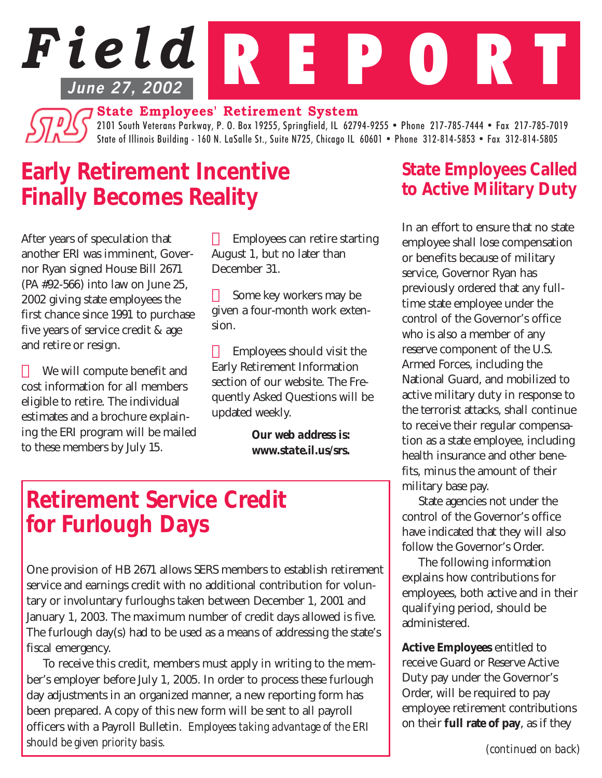# *Field* R E P O R T **June 27, 2002**

**State Employees' Retirement System**

2101 South Veterans Parkway, P. O. Box 19255, Springfield, IL 62794-9255 • Phone 217-785-7444 • Fax 217-785-7019 State of Illinois Building - 160 N. LaSalle St., Suite N725, Chicago IL 60601 • Phone 312-814-5853 • Fax 312-814-5805

# *Early Retirement Incentive Finally Becomes Reality*

After years of speculation that another ERI was imminent, Governor Ryan signed House Bill 2671 (PA #92-566) into law on June 25, 2002 giving state employees the first chance since 1991 to purchase five years of service credit & age and retire or resign.

 We will compute benefit and cost information for all members eligible to retire. The individual estimates and a brochure explaining the ERI program will be mailed to these members by July 15.

 Employees can retire starting August 1, but no later than December 31.

 Some key workers may be given a four-month work extension.

 Employees should visit the Early Retirement Information section of our website. The Frequently Asked Questions will be updated weekly.

> *Our web address is: www.state.il.us/srs.*

### *Retirement Service Credit for Furlough Days*

One provision of HB 2671 allows SERS members to establish retirement service and earnings credit with no additional contribution for voluntary or involuntary furloughs taken between December 1, 2001 and January 1, 2003. The maximum number of credit days allowed is five. The furlough day(s) had to be used as a means of addressing the state's fiscal emergency.

To receive this credit, members must apply in writing to the member's employer before July 1, 2005. In order to process these furlough day adjustments in an organized manner, a new reporting form has been prepared. A copy of this new form will be sent to all payroll officers with a Payroll Bulletin. *Employees taking advantage of the ERI should be given priority basis. (continued on back)*

#### *State Employees Called to Active Military Duty*

In an effort to ensure that no state employee shall lose compensation or benefits because of military service, Governor Ryan has previously ordered that any fulltime state employee under the control of the Governor's office who is also a member of any reserve component of the U.S. Armed Forces, including the National Guard, and mobilized to active military duty in response to the terrorist attacks, shall continue to receive their regular compensation as a state employee, including health insurance and other benefits, minus the amount of their military base pay.

State agencies not under the control of the Governor's office have indicated that they will also follow the Governor's Order.

The following information explains how contributions for employees, both active and in their qualifying period, should be administered.

*Active Employees* entitled to receive Guard or Reserve Active Duty pay under the Governor's Order, will be required to pay employee retirement contributions on their *full rate of pay*, as if they